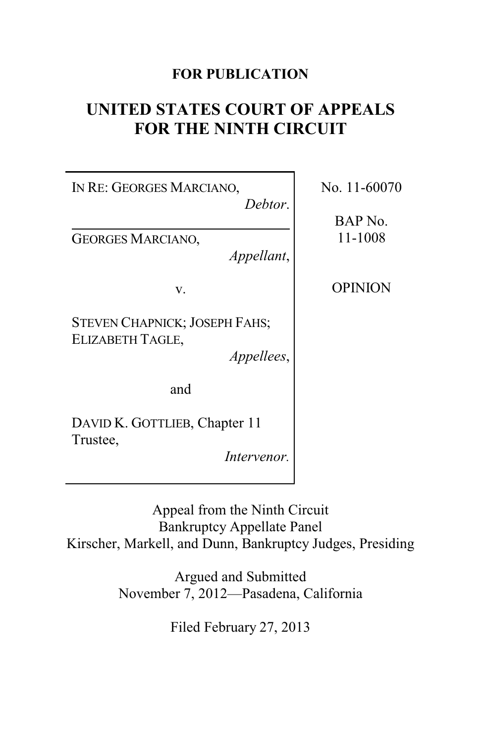# **FOR PUBLICATION**

# **UNITED STATES COURT OF APPEALS FOR THE NINTH CIRCUIT**

| IN RE: GEORGES MARCIANO,<br>Debtor.                                    | No. |
|------------------------------------------------------------------------|-----|
| <b>GEORGES MARCIANO,</b><br>Appellant,                                 | F   |
| v.                                                                     |     |
| <b>STEVEN CHAPNICK; JOSEPH FAHS;</b><br>ELIZABETH TAGLE,<br>Appellees, |     |
| and                                                                    |     |
| DAVID K. GOTTLIEB, Chapter 11<br>Trustee,<br>Intervenor.               |     |

11-60070

BAP No. 11-1008

OPINION

Appeal from the Ninth Circuit Bankruptcy Appellate Panel Kirscher, Markell, and Dunn, Bankruptcy Judges, Presiding

> Argued and Submitted November 7, 2012—Pasadena, California

> > Filed February 27, 2013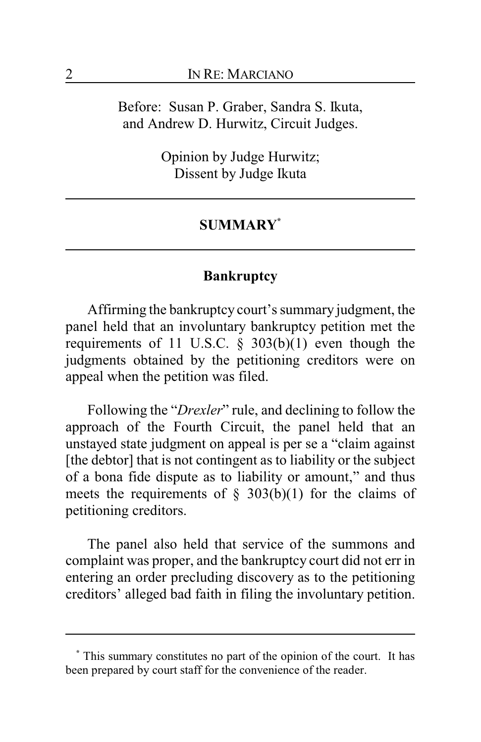Before: Susan P. Graber, Sandra S. Ikuta, and Andrew D. Hurwitz, Circuit Judges.

> Opinion by Judge Hurwitz; Dissent by Judge Ikuta

### **SUMMARY\***

## **Bankruptcy**

Affirming the bankruptcy court's summary judgment, the panel held that an involuntary bankruptcy petition met the requirements of 11 U.S.C.  $\S$  303(b)(1) even though the judgments obtained by the petitioning creditors were on appeal when the petition was filed.

Following the "*Drexler*" rule, and declining to follow the approach of the Fourth Circuit, the panel held that an unstayed state judgment on appeal is per se a "claim against [the debtor] that is not contingent as to liability or the subject of a bona fide dispute as to liability or amount," and thus meets the requirements of  $\S$  303(b)(1) for the claims of petitioning creditors.

The panel also held that service of the summons and complaint was proper, and the bankruptcy court did not err in entering an order precluding discovery as to the petitioning creditors' alleged bad faith in filing the involuntary petition.

**<sup>\*</sup>** This summary constitutes no part of the opinion of the court. It has been prepared by court staff for the convenience of the reader.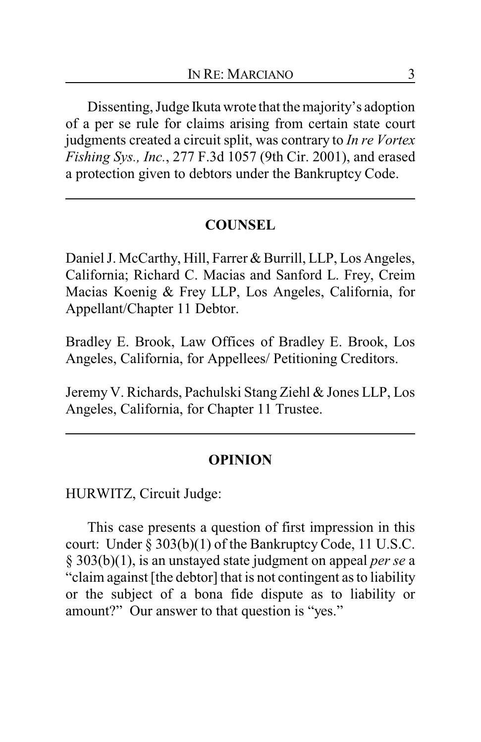Dissenting, Judge Ikuta wrote that the majority's adoption of a per se rule for claims arising from certain state court judgments created a circuit split, was contrary to *In re Vortex Fishing Sys., Inc.*, 277 F.3d 1057 (9th Cir. 2001), and erased a protection given to debtors under the Bankruptcy Code.

## **COUNSEL**

Daniel J. McCarthy, Hill, Farrer & Burrill, LLP, Los Angeles, California; Richard C. Macias and Sanford L. Frey, Creim Macias Koenig & Frey LLP, Los Angeles, California, for Appellant/Chapter 11 Debtor.

Bradley E. Brook, Law Offices of Bradley E. Brook, Los Angeles, California, for Appellees/ Petitioning Creditors.

Jeremy V. Richards, Pachulski Stang Ziehl & Jones LLP, Los Angeles, California, for Chapter 11 Trustee.

#### **OPINION**

HURWITZ, Circuit Judge:

This case presents a question of first impression in this court: Under § 303(b)(1) of the Bankruptcy Code, 11 U.S.C. § 303(b)(1), is an unstayed state judgment on appeal *per se* a "claim against [the debtor] that is not contingent as to liability or the subject of a bona fide dispute as to liability or amount?" Our answer to that question is "yes."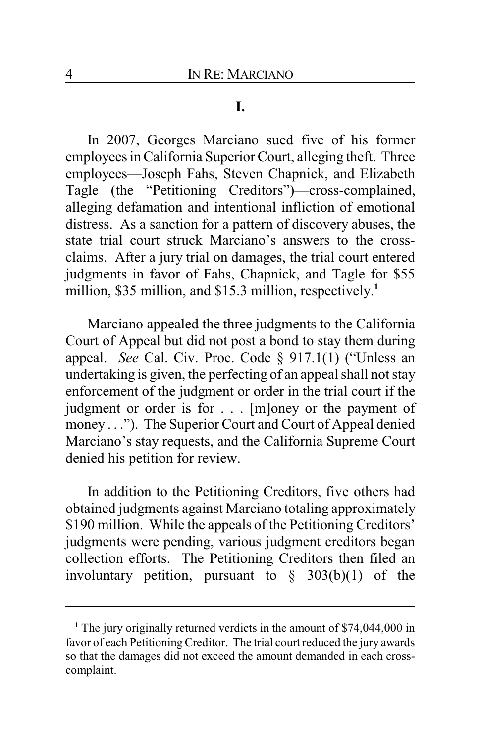#### **I.**

In 2007, Georges Marciano sued five of his former employees in California Superior Court, alleging theft. Three employees—Joseph Fahs, Steven Chapnick, and Elizabeth Tagle (the "Petitioning Creditors")—cross-complained, alleging defamation and intentional infliction of emotional distress. As a sanction for a pattern of discovery abuses, the state trial court struck Marciano's answers to the crossclaims. After a jury trial on damages, the trial court entered judgments in favor of Fahs, Chapnick, and Tagle for \$55 million, \$35 million, and \$15.3 million, respectively.<sup>1</sup>

Marciano appealed the three judgments to the California Court of Appeal but did not post a bond to stay them during appeal. *See* Cal. Civ. Proc. Code § 917.1(1) ("Unless an undertaking is given, the perfecting of an appeal shall not stay enforcement of the judgment or order in the trial court if the judgment or order is for . . . [m]oney or the payment of money . . ."). The Superior Court and Court of Appeal denied Marciano's stay requests, and the California Supreme Court denied his petition for review.

In addition to the Petitioning Creditors, five others had obtained judgments against Marciano totaling approximately \$190 million. While the appeals of the Petitioning Creditors' judgments were pending, various judgment creditors began collection efforts. The Petitioning Creditors then filed an involuntary petition, pursuant to  $\frac{8}{9}$  303(b)(1) of the

<sup>&</sup>lt;sup>1</sup> The jury originally returned verdicts in the amount of \$74,044,000 in favor of each Petitioning Creditor. The trial court reduced the jury awards so that the damages did not exceed the amount demanded in each crosscomplaint.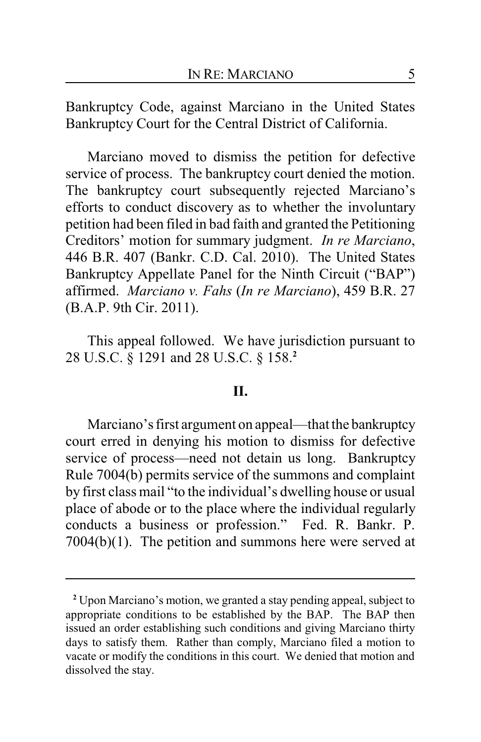Bankruptcy Code, against Marciano in the United States Bankruptcy Court for the Central District of California.

Marciano moved to dismiss the petition for defective service of process. The bankruptcy court denied the motion. The bankruptcy court subsequently rejected Marciano's efforts to conduct discovery as to whether the involuntary petition had been filed in bad faith and granted the Petitioning Creditors' motion for summary judgment. *In re Marciano*, 446 B.R. 407 (Bankr. C.D. Cal. 2010). The United States Bankruptcy Appellate Panel for the Ninth Circuit ("BAP") affirmed. *Marciano v. Fahs* (*In re Marciano*), 459 B.R. 27 (B.A.P. 9th Cir. 2011).

This appeal followed. We have jurisdiction pursuant to 28 U.S.C. § 1291 and 28 U.S.C. § 158.**<sup>2</sup>**

#### **II.**

Marciano's first argument on appeal—that the bankruptcy court erred in denying his motion to dismiss for defective service of process—need not detain us long. Bankruptcy Rule 7004(b) permits service of the summons and complaint by first class mail "to the individual's dwelling house or usual place of abode or to the place where the individual regularly conducts a business or profession." Fed. R. Bankr. P. 7004(b)(1). The petition and summons here were served at

**<sup>2</sup>** Upon Marciano's motion, we granted a stay pending appeal, subject to appropriate conditions to be established by the BAP. The BAP then issued an order establishing such conditions and giving Marciano thirty days to satisfy them. Rather than comply, Marciano filed a motion to vacate or modify the conditions in this court. We denied that motion and dissolved the stay.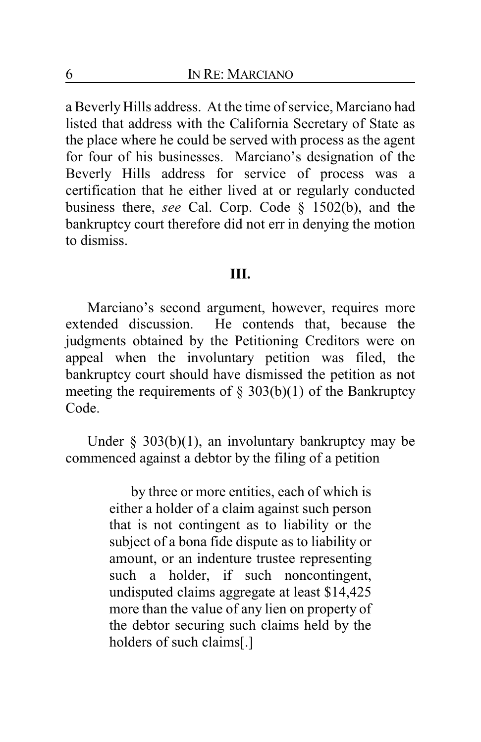a Beverly Hills address. At the time of service, Marciano had listed that address with the California Secretary of State as the place where he could be served with process as the agent for four of his businesses. Marciano's designation of the Beverly Hills address for service of process was a certification that he either lived at or regularly conducted business there, *see* Cal. Corp. Code § 1502(b), and the bankruptcy court therefore did not err in denying the motion to dismiss.

## **III.**

Marciano's second argument, however, requires more extended discussion. He contends that, because the judgments obtained by the Petitioning Creditors were on appeal when the involuntary petition was filed, the bankruptcy court should have dismissed the petition as not meeting the requirements of  $\S$  303(b)(1) of the Bankruptcy Code.

Under  $\S$  303(b)(1), an involuntary bankruptcy may be commenced against a debtor by the filing of a petition

> by three or more entities, each of which is either a holder of a claim against such person that is not contingent as to liability or the subject of a bona fide dispute as to liability or amount, or an indenture trustee representing such a holder, if such noncontingent, undisputed claims aggregate at least \$14,425 more than the value of any lien on property of the debtor securing such claims held by the holders of such claims[.]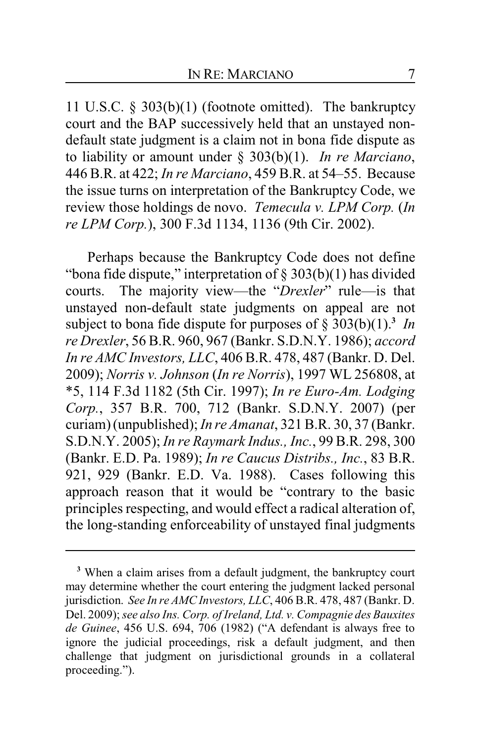11 U.S.C. § 303(b)(1) (footnote omitted). The bankruptcy court and the BAP successively held that an unstayed nondefault state judgment is a claim not in bona fide dispute as to liability or amount under § 303(b)(1). *In re Marciano*, 446 B.R. at 422; *In re Marciano*, 459 B.R. at 54–55. Because the issue turns on interpretation of the Bankruptcy Code, we review those holdings de novo. *Temecula v. LPM Corp.* (*In re LPM Corp.*), 300 F.3d 1134, 1136 (9th Cir. 2002).

Perhaps because the Bankruptcy Code does not define "bona fide dispute," interpretation of  $\S 303(b)(1)$  has divided courts. The majority view—the "*Drexler*" rule—is that unstayed non-default state judgments on appeal are not subject to bona fide dispute for purposes of § 303(b)(1).**<sup>3</sup>** *In re Drexler*, 56 B.R. 960, 967 (Bankr. S.D.N.Y. 1986); *accord In re AMC Investors, LLC*, 406 B.R. 478, 487 (Bankr. D. Del. 2009); *Norris v. Johnson* (*In re Norris*), 1997 WL 256808, at \*5, 114 F.3d 1182 (5th Cir. 1997); *In re Euro-Am. Lodging Corp.*, 357 B.R. 700, 712 (Bankr. S.D.N.Y. 2007) (per curiam) (unpublished); *In re Amanat*, 321 B.R. 30, 37 (Bankr. S.D.N.Y. 2005); *In re Raymark Indus., Inc.*, 99 B.R. 298, 300 (Bankr. E.D. Pa. 1989); *In re Caucus Distribs., Inc.*, 83 B.R. 921, 929 (Bankr. E.D. Va. 1988). Cases following this approach reason that it would be "contrary to the basic principles respecting, and would effect a radical alteration of, the long-standing enforceability of unstayed final judgments

<sup>&</sup>lt;sup>3</sup> When a claim arises from a default judgment, the bankruptcy court may determine whether the court entering the judgment lacked personal jurisdiction. *See In re AMC Investors, LLC*, 406 B.R. 478, 487 (Bankr. D. Del. 2009); *see also Ins. Corp. of Ireland, Ltd. v. Compagnie des Bauxites de Guinee*, 456 U.S. 694, 706 (1982) ("A defendant is always free to ignore the judicial proceedings, risk a default judgment, and then challenge that judgment on jurisdictional grounds in a collateral proceeding.").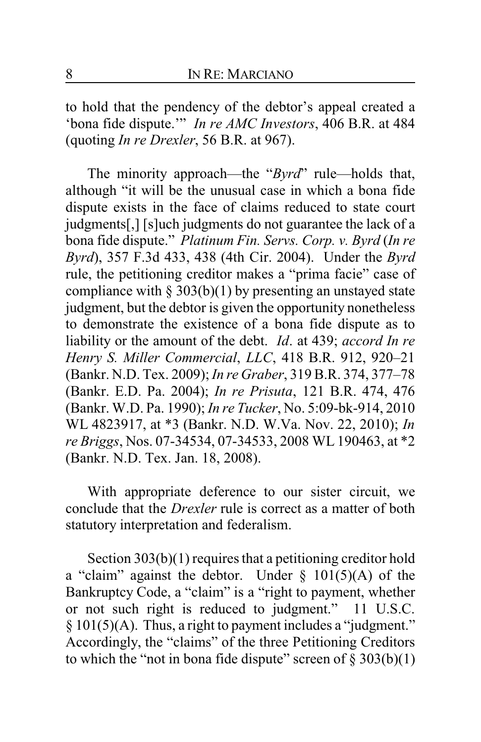to hold that the pendency of the debtor's appeal created a 'bona fide dispute.'" *In re AMC Investors*, 406 B.R. at 484 (quoting *In re Drexler*, 56 B.R. at 967).

The minority approach—the "*Byrd*" rule—holds that, although "it will be the unusual case in which a bona fide dispute exists in the face of claims reduced to state court judgments[,] [s]uch judgments do not guarantee the lack of a bona fide dispute." *Platinum Fin. Servs. Corp. v. Byrd* (*In re Byrd*), 357 F.3d 433, 438 (4th Cir. 2004). Under the *Byrd* rule, the petitioning creditor makes a "prima facie" case of compliance with § 303(b)(1) by presenting an unstayed state judgment, but the debtor is given the opportunity nonetheless to demonstrate the existence of a bona fide dispute as to liability or the amount of the debt. *Id*. at 439; *accord In re Henry S. Miller Commercial*, *LLC*, 418 B.R. 912, 920–21 (Bankr. N.D. Tex. 2009); *In re Graber*, 319 B.R. 374, 377–78 (Bankr. E.D. Pa. 2004); *In re Prisuta*, 121 B.R. 474, 476 (Bankr. W.D. Pa. 1990); *In re Tucker*, No. 5:09-bk-914, 2010 WL 4823917, at \*3 (Bankr. N.D. W.Va. Nov. 22, 2010); *In re Briggs*, Nos. 07-34534, 07-34533, 2008 WL 190463, at \*2 (Bankr. N.D. Tex. Jan. 18, 2008).

With appropriate deference to our sister circuit, we conclude that the *Drexler* rule is correct as a matter of both statutory interpretation and federalism.

Section 303(b)(1) requires that a petitioning creditor hold a "claim" against the debtor. Under  $\S$  101(5)(A) of the Bankruptcy Code, a "claim" is a "right to payment, whether or not such right is reduced to judgment." 11 U.S.C. § 101(5)(A). Thus, a right to payment includes a "judgment." Accordingly, the "claims" of the three Petitioning Creditors to which the "not in bona fide dispute" screen of  $\S 303(b)(1)$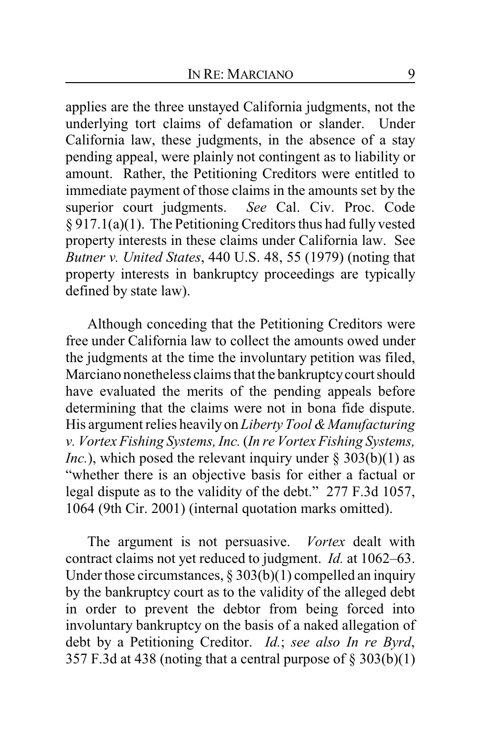applies are the three unstayed California judgments, not the underlying tort claims of defamation or slander. Under California law, these judgments, in the absence of a stay pending appeal, were plainly not contingent as to liability or amount. Rather, the Petitioning Creditors were entitled to immediate payment of those claims in the amounts set by the superior court judgments. *See* Cal. Civ. Proc. Code § 917.1(a)(1). The Petitioning Creditors thus had fully vested property interests in these claims under California law. See *Butner v. United States*, 440 U.S. 48, 55 (1979) (noting that property interests in bankruptcy proceedings are typically defined by state law).

Although conceding that the Petitioning Creditors were free under California law to collect the amounts owed under the judgments at the time the involuntary petition was filed, Marciano nonetheless claims that the bankruptcycourt should have evaluated the merits of the pending appeals before determining that the claims were not in bona fide dispute. His argument relies heavily on *Liberty Tool & Manufacturing v. Vortex Fishing Systems, Inc.* (*In re Vortex Fishing Systems, Inc.*), which posed the relevant inquiry under  $\S 303(b)(1)$  as "whether there is an objective basis for either a factual or legal dispute as to the validity of the debt." 277 F.3d 1057, 1064 (9th Cir. 2001) (internal quotation marks omitted).

The argument is not persuasive. *Vortex* dealt with contract claims not yet reduced to judgment. *Id.* at 1062–63. Under those circumstances,  $\S 303(b)(1)$  compelled an inquiry by the bankruptcy court as to the validity of the alleged debt in order to prevent the debtor from being forced into involuntary bankruptcy on the basis of a naked allegation of debt by a Petitioning Creditor. *Id.*; *see also In re Byrd*, 357 F.3d at 438 (noting that a central purpose of  $\S$  303(b)(1)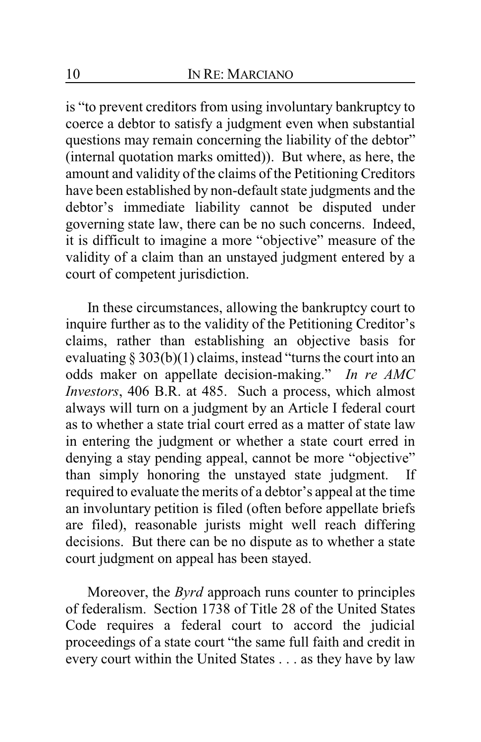is "to prevent creditors from using involuntary bankruptcy to coerce a debtor to satisfy a judgment even when substantial questions may remain concerning the liability of the debtor" (internal quotation marks omitted)). But where, as here, the amount and validity of the claims of the Petitioning Creditors have been established by non-default state judgments and the debtor's immediate liability cannot be disputed under governing state law, there can be no such concerns. Indeed, it is difficult to imagine a more "objective" measure of the validity of a claim than an unstayed judgment entered by a court of competent jurisdiction.

In these circumstances, allowing the bankruptcy court to inquire further as to the validity of the Petitioning Creditor's claims, rather than establishing an objective basis for evaluating § 303(b)(1) claims, instead "turns the court into an odds maker on appellate decision-making." *In re AMC Investors*, 406 B.R. at 485. Such a process, which almost always will turn on a judgment by an Article I federal court as to whether a state trial court erred as a matter of state law in entering the judgment or whether a state court erred in denying a stay pending appeal, cannot be more "objective" than simply honoring the unstayed state judgment. If required to evaluate the merits of a debtor's appeal at the time an involuntary petition is filed (often before appellate briefs are filed), reasonable jurists might well reach differing decisions. But there can be no dispute as to whether a state court judgment on appeal has been stayed.

Moreover, the *Byrd* approach runs counter to principles of federalism. Section 1738 of Title 28 of the United States Code requires a federal court to accord the judicial proceedings of a state court "the same full faith and credit in every court within the United States . . . as they have by law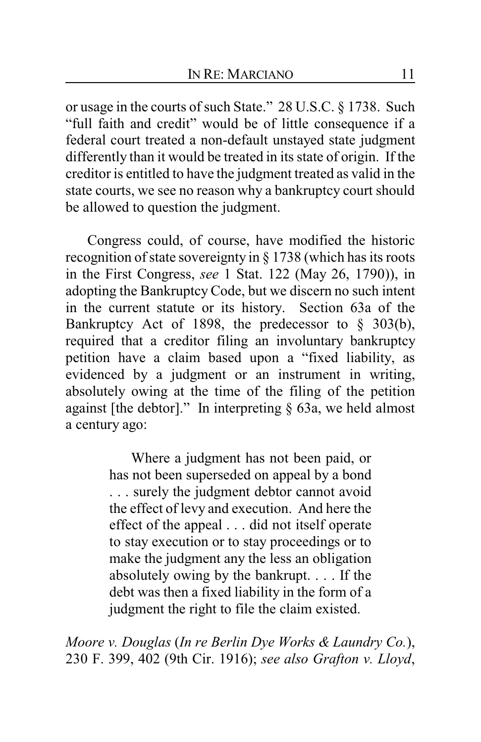or usage in the courts of such State." 28 U.S.C. § 1738. Such "full faith and credit" would be of little consequence if a federal court treated a non-default unstayed state judgment differently than it would be treated in its state of origin. If the creditor is entitled to have the judgment treated as valid in the state courts, we see no reason why a bankruptcy court should be allowed to question the judgment.

Congress could, of course, have modified the historic recognition of state sovereignty in § 1738 (which has its roots in the First Congress, *see* 1 Stat. 122 (May 26, 1790)), in adopting the Bankruptcy Code, but we discern no such intent in the current statute or its history. Section 63a of the Bankruptcy Act of 1898, the predecessor to § 303(b), required that a creditor filing an involuntary bankruptcy petition have a claim based upon a "fixed liability, as evidenced by a judgment or an instrument in writing, absolutely owing at the time of the filing of the petition against [the debtor]." In interpreting  $\S$  63a, we held almost a century ago:

> Where a judgment has not been paid, or has not been superseded on appeal by a bond . . . surely the judgment debtor cannot avoid the effect of levy and execution. And here the effect of the appeal . . . did not itself operate to stay execution or to stay proceedings or to make the judgment any the less an obligation absolutely owing by the bankrupt. . . . If the debt was then a fixed liability in the form of a judgment the right to file the claim existed.

*Moore v. Douglas* (*In re Berlin Dye Works & Laundry Co.*), 230 F. 399, 402 (9th Cir. 1916); *see also Grafton v. Lloyd*,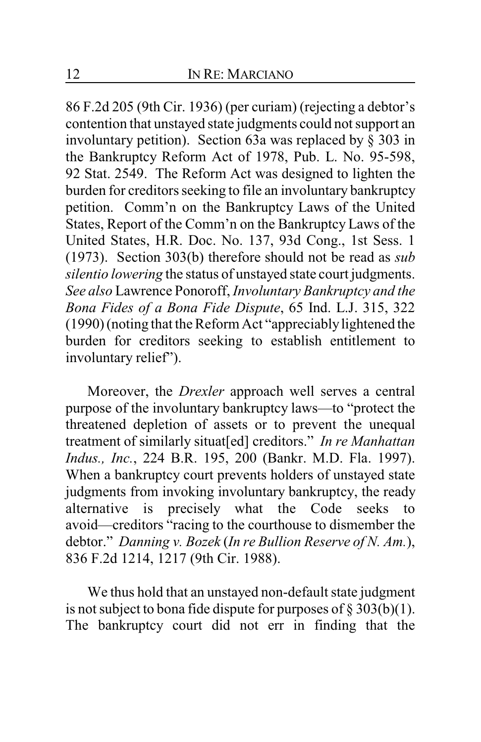86 F.2d 205 (9th Cir. 1936) (per curiam) (rejecting a debtor's contention that unstayed state judgments could not support an involuntary petition). Section 63a was replaced by § 303 in the Bankruptcy Reform Act of 1978, Pub. L. No. 95-598, 92 Stat. 2549. The Reform Act was designed to lighten the burden for creditors seeking to file an involuntary bankruptcy petition. Comm'n on the Bankruptcy Laws of the United States, Report of the Comm'n on the Bankruptcy Laws of the United States, H.R. Doc. No. 137, 93d Cong., 1st Sess. 1 (1973). Section 303(b) therefore should not be read as *sub silentio lowering* the status of unstayed state court judgments. *See also* Lawrence Ponoroff, *Involuntary Bankruptcy and the Bona Fides of a Bona Fide Dispute*, 65 Ind. L.J. 315, 322 (1990) (noting that the Reform Act "appreciablylightened the burden for creditors seeking to establish entitlement to involuntary relief").

Moreover, the *Drexler* approach well serves a central purpose of the involuntary bankruptcy laws—to "protect the threatened depletion of assets or to prevent the unequal treatment of similarly situat[ed] creditors." *In re Manhattan Indus., Inc.*, 224 B.R. 195, 200 (Bankr. M.D. Fla. 1997). When a bankruptcy court prevents holders of unstayed state judgments from invoking involuntary bankruptcy, the ready alternative is precisely what the Code seeks avoid—creditors "racing to the courthouse to dismember the debtor." *Danning v. Bozek* (*In re Bullion Reserve of N. Am.*), 836 F.2d 1214, 1217 (9th Cir. 1988).

We thus hold that an unstayed non-default state judgment is not subject to bona fide dispute for purposes of  $\S 303(b)(1)$ . The bankruptcy court did not err in finding that the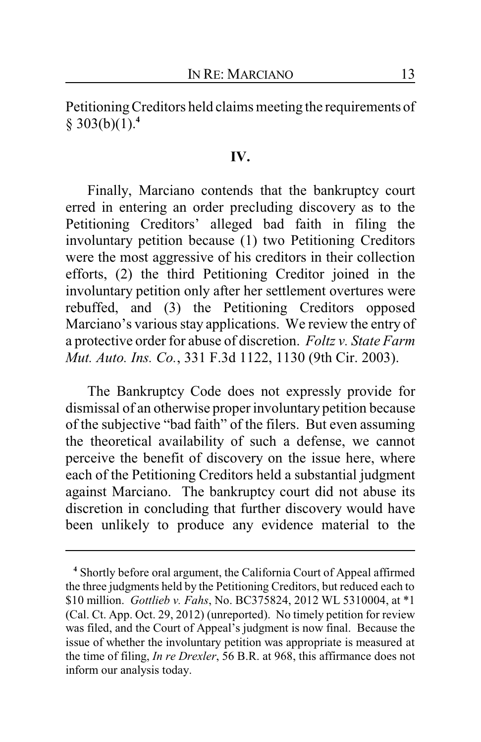Petitioning Creditors held claims meeting the requirements of § 303(b)(1).**<sup>4</sup>**

#### **IV.**

Finally, Marciano contends that the bankruptcy court erred in entering an order precluding discovery as to the Petitioning Creditors' alleged bad faith in filing the involuntary petition because (1) two Petitioning Creditors were the most aggressive of his creditors in their collection efforts, (2) the third Petitioning Creditor joined in the involuntary petition only after her settlement overtures were rebuffed, and (3) the Petitioning Creditors opposed Marciano's various stay applications. We review the entry of a protective order for abuse of discretion. *Foltz v. State Farm Mut. Auto. Ins. Co.*, 331 F.3d 1122, 1130 (9th Cir. 2003).

The Bankruptcy Code does not expressly provide for dismissal of an otherwise proper involuntary petition because of the subjective "bad faith" of the filers. But even assuming the theoretical availability of such a defense, we cannot perceive the benefit of discovery on the issue here, where each of the Petitioning Creditors held a substantial judgment against Marciano. The bankruptcy court did not abuse its discretion in concluding that further discovery would have been unlikely to produce any evidence material to the

**<sup>4</sup>** Shortly before oral argument, the California Court of Appeal affirmed the three judgments held by the Petitioning Creditors, but reduced each to \$10 million. *Gottlieb v. Fahs*, No. BC375824, 2012 WL 5310004, at \*1 (Cal. Ct. App. Oct. 29, 2012) (unreported). No timely petition for review was filed, and the Court of Appeal's judgment is now final. Because the issue of whether the involuntary petition was appropriate is measured at the time of filing, *In re Drexler*, 56 B.R. at 968, this affirmance does not inform our analysis today.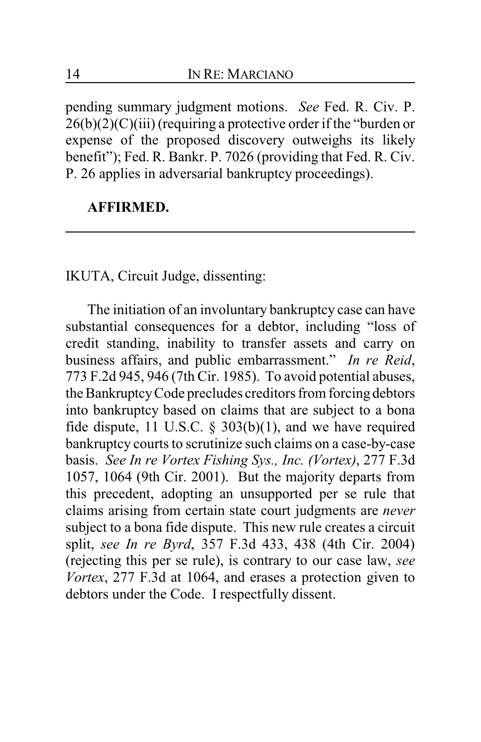pending summary judgment motions. *See* Fed. R. Civ. P.  $26(b)(2)(C)(iii)$  (requiring a protective order if the "burden or expense of the proposed discovery outweighs its likely benefit"); Fed. R. Bankr. P. 7026 (providing that Fed. R. Civ. P. 26 applies in adversarial bankruptcy proceedings).

## **AFFIRMED.**

IKUTA, Circuit Judge, dissenting:

The initiation of an involuntary bankruptcy case can have substantial consequences for a debtor, including "loss of credit standing, inability to transfer assets and carry on business affairs, and public embarrassment." *In re Reid*, 773 F.2d 945, 946 (7th Cir. 1985). To avoid potential abuses, the BankruptcyCode precludes creditors from forcing debtors into bankruptcy based on claims that are subject to a bona fide dispute, 11 U.S.C.  $\S$  303(b)(1), and we have required bankruptcy courts to scrutinize such claims on a case-by-case basis. *See In re Vortex Fishing Sys., Inc. (Vortex)*, 277 F.3d 1057, 1064 (9th Cir. 2001). But the majority departs from this precedent, adopting an unsupported per se rule that claims arising from certain state court judgments are *never* subject to a bona fide dispute. This new rule creates a circuit split, *see In re Byrd*, 357 F.3d 433, 438 (4th Cir. 2004) (rejecting this per se rule), is contrary to our case law, *see Vortex*, 277 F.3d at 1064, and erases a protection given to debtors under the Code. I respectfully dissent.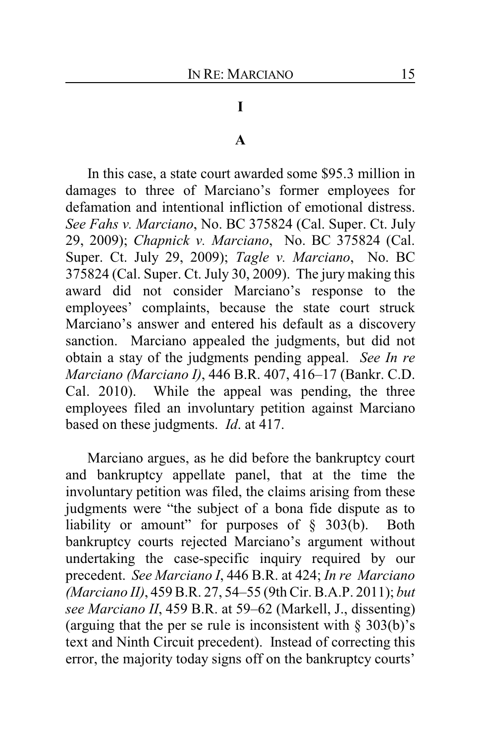## **I**

#### **A**

In this case, a state court awarded some \$95.3 million in damages to three of Marciano's former employees for defamation and intentional infliction of emotional distress. *See Fahs v. Marciano*, No. BC 375824 (Cal. Super. Ct. July 29, 2009); *Chapnick v. Marciano*, No. BC 375824 (Cal. Super. Ct. July 29, 2009); *Tagle v. Marciano*, No. BC 375824 (Cal. Super. Ct. July 30, 2009). The jury making this award did not consider Marciano's response to the employees' complaints, because the state court struck Marciano's answer and entered his default as a discovery sanction. Marciano appealed the judgments, but did not obtain a stay of the judgments pending appeal. *See In re Marciano (Marciano I)*, 446 B.R. 407, 416–17 (Bankr. C.D. Cal. 2010). While the appeal was pending, the three employees filed an involuntary petition against Marciano based on these judgments. *Id*. at 417.

Marciano argues, as he did before the bankruptcy court and bankruptcy appellate panel, that at the time the involuntary petition was filed, the claims arising from these judgments were "the subject of a bona fide dispute as to liability or amount" for purposes of § 303(b). Both bankruptcy courts rejected Marciano's argument without undertaking the case-specific inquiry required by our precedent. *See Marciano I*, 446 B.R. at 424; *In re Marciano (Marciano II)*, 459 B.R. 27, 54–55 (9th Cir. B.A.P. 2011); *but see Marciano II*, 459 B.R. at 59–62 (Markell, J., dissenting) (arguing that the per se rule is inconsistent with  $\S 303(b)$ 's text and Ninth Circuit precedent). Instead of correcting this error, the majority today signs off on the bankruptcy courts'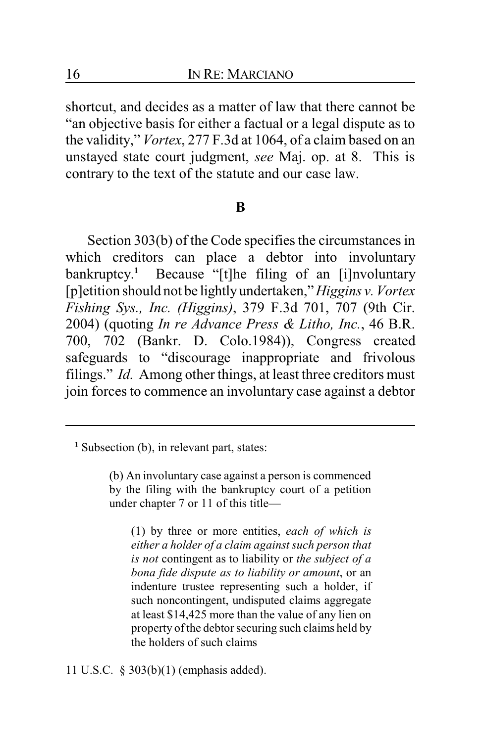shortcut, and decides as a matter of law that there cannot be "an objective basis for either a factual or a legal dispute as to the validity," *Vortex*, 277 F.3d at 1064, of a claim based on an unstayed state court judgment, *see* Maj. op. at 8. This is contrary to the text of the statute and our case law.

#### **B**

Section 303(b) of the Code specifies the circumstances in which creditors can place a debtor into involuntary bankruptcy. **<sup>1</sup>** Because "[t]he filing of an [i]nvoluntary [p]etition should not be lightlyundertaken," *Higgins v. Vortex Fishing Sys., Inc. (Higgins)*, 379 F.3d 701, 707 (9th Cir. 2004) (quoting *In re Advance Press & Litho, Inc.*, 46 B.R. 700, 702 (Bankr. D. Colo.1984)), Congress created safeguards to "discourage inappropriate and frivolous filings." *Id.* Among other things, at least three creditors must join forces to commence an involuntary case against a debtor

(1) by three or more entities, *each of which is either a holder of a claim against such person that is not* contingent as to liability or *the subject of a bona fide dispute as to liability or amount*, or an indenture trustee representing such a holder, if such noncontingent, undisputed claims aggregate at least \$14,425 more than the value of any lien on property of the debtor securing such claims held by the holders of such claims

11 U.S.C. § 303(b)(1) (emphasis added).

<sup>&</sup>lt;sup>1</sup> Subsection (b), in relevant part, states:

<sup>(</sup>b) An involuntary case against a person is commenced by the filing with the bankruptcy court of a petition under chapter 7 or 11 of this title—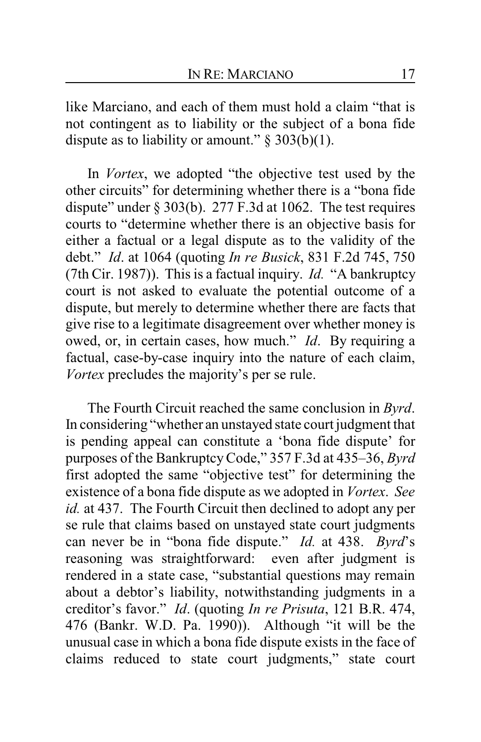like Marciano, and each of them must hold a claim "that is not contingent as to liability or the subject of a bona fide dispute as to liability or amount."  $\S 303(b)(1)$ .

In *Vortex*, we adopted "the objective test used by the other circuits" for determining whether there is a "bona fide dispute" under  $\S 303(b)$ . 277 F.3d at 1062. The test requires courts to "determine whether there is an objective basis for either a factual or a legal dispute as to the validity of the debt." *Id*. at 1064 (quoting *In re Busick*, 831 F.2d 745, 750 (7th Cir. 1987)). This is a factual inquiry. *Id.* "A bankruptcy court is not asked to evaluate the potential outcome of a dispute, but merely to determine whether there are facts that give rise to a legitimate disagreement over whether money is owed, or, in certain cases, how much." *Id*. By requiring a factual, case-by-case inquiry into the nature of each claim, *Vortex* precludes the majority's per se rule.

The Fourth Circuit reached the same conclusion in *Byrd*. In considering "whether an unstayed state court judgment that is pending appeal can constitute a 'bona fide dispute' for purposes of the BankruptcyCode," 357 F.3d at 435–36, *Byrd* first adopted the same "objective test" for determining the existence of a bona fide dispute as we adopted in *Vortex*. *See id.* at 437. The Fourth Circuit then declined to adopt any per se rule that claims based on unstayed state court judgments can never be in "bona fide dispute." *Id.* at 438. *Byrd*'s reasoning was straightforward: even after judgment is rendered in a state case, "substantial questions may remain about a debtor's liability, notwithstanding judgments in a creditor's favor." *Id*. (quoting *In re Prisuta*, 121 B.R. 474, 476 (Bankr. W.D. Pa. 1990)). Although "it will be the unusual case in which a bona fide dispute exists in the face of claims reduced to state court judgments," state court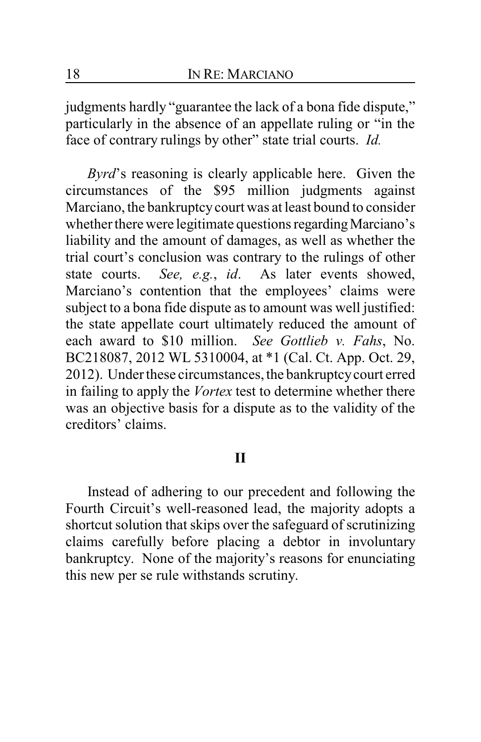judgments hardly "guarantee the lack of a bona fide dispute," particularly in the absence of an appellate ruling or "in the face of contrary rulings by other" state trial courts. *Id.*

*Byrd*'s reasoning is clearly applicable here. Given the circumstances of the \$95 million judgments against Marciano, the bankruptcy court was at least bound to consider whether there were legitimate questions regarding Marciano's liability and the amount of damages, as well as whether the trial court's conclusion was contrary to the rulings of other state courts. *See, e.g.*, *id*. As later events showed, Marciano's contention that the employees' claims were subject to a bona fide dispute as to amount was well justified: the state appellate court ultimately reduced the amount of each award to \$10 million. *See Gottlieb v. Fahs*, No. BC218087, 2012 WL 5310004, at \*1 (Cal. Ct. App. Oct. 29, 2012). Under these circumstances, the bankruptcycourt erred in failing to apply the *Vortex* test to determine whether there was an objective basis for a dispute as to the validity of the creditors' claims.

### **II**

Instead of adhering to our precedent and following the Fourth Circuit's well-reasoned lead, the majority adopts a shortcut solution that skips over the safeguard of scrutinizing claims carefully before placing a debtor in involuntary bankruptcy. None of the majority's reasons for enunciating this new per se rule withstands scrutiny.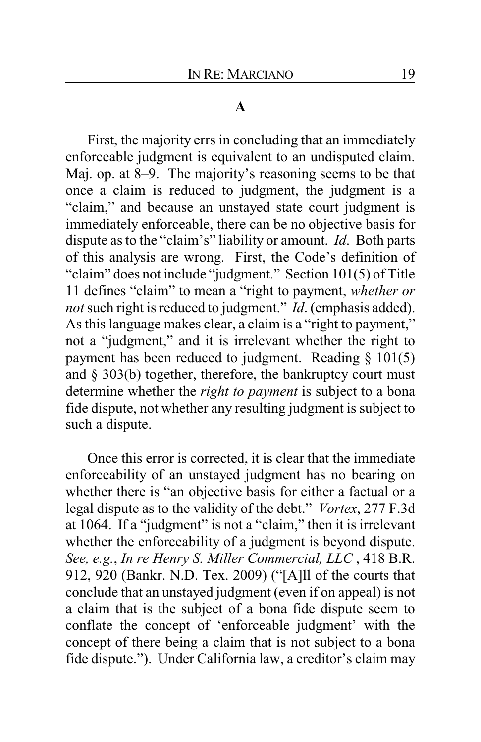#### **A**

First, the majority errs in concluding that an immediately enforceable judgment is equivalent to an undisputed claim. Maj. op. at 8–9. The majority's reasoning seems to be that once a claim is reduced to judgment, the judgment is a "claim," and because an unstayed state court judgment is immediately enforceable, there can be no objective basis for dispute as to the "claim's" liability or amount. *Id*. Both parts of this analysis are wrong. First, the Code's definition of "claim" does not include "judgment." Section 101(5) of Title 11 defines "claim" to mean a "right to payment, *whether or not* such right is reduced to judgment." *Id*. (emphasis added). As this language makes clear, a claim is a "right to payment," not a "judgment," and it is irrelevant whether the right to payment has been reduced to judgment. Reading § 101(5) and § 303(b) together, therefore, the bankruptcy court must determine whether the *right to payment* is subject to a bona fide dispute, not whether any resulting judgment is subject to such a dispute.

Once this error is corrected, it is clear that the immediate enforceability of an unstayed judgment has no bearing on whether there is "an objective basis for either a factual or a legal dispute as to the validity of the debt." *Vortex*, 277 F.3d at 1064. If a "judgment" is not a "claim," then it is irrelevant whether the enforceability of a judgment is beyond dispute. *See, e.g.*, *In re Henry S. Miller Commercial, LLC* , 418 B.R. 912, 920 (Bankr. N.D. Tex. 2009) ("[A]ll of the courts that conclude that an unstayed judgment (even if on appeal) is not a claim that is the subject of a bona fide dispute seem to conflate the concept of 'enforceable judgment' with the concept of there being a claim that is not subject to a bona fide dispute."). Under California law, a creditor's claim may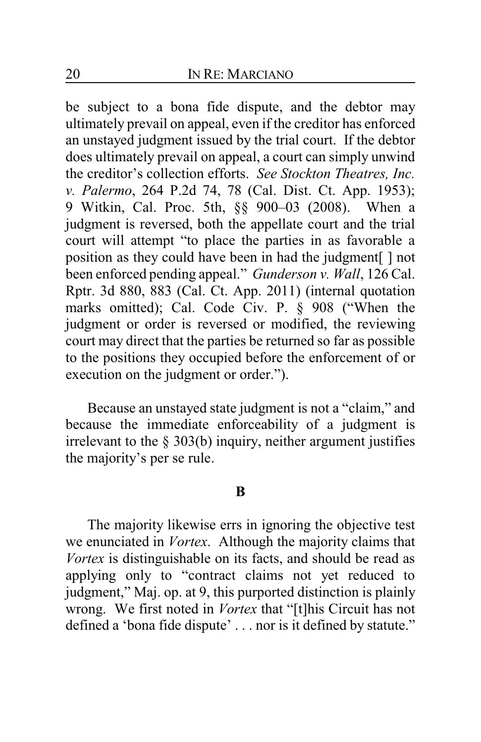be subject to a bona fide dispute, and the debtor may ultimately prevail on appeal, even if the creditor has enforced an unstayed judgment issued by the trial court. If the debtor does ultimately prevail on appeal, a court can simply unwind the creditor's collection efforts. *See Stockton Theatres, Inc. v. Palermo*, 264 P.2d 74, 78 (Cal. Dist. Ct. App. 1953); 9 Witkin, Cal. Proc. 5th, §§ 900–03 (2008). When a judgment is reversed, both the appellate court and the trial court will attempt "to place the parties in as favorable a position as they could have been in had the judgment[ ] not been enforced pending appeal." *Gunderson v. Wall*, 126 Cal. Rptr. 3d 880, 883 (Cal. Ct. App. 2011) (internal quotation marks omitted); Cal. Code Civ. P. § 908 ("When the judgment or order is reversed or modified, the reviewing court may direct that the parties be returned so far as possible to the positions they occupied before the enforcement of or execution on the judgment or order.").

Because an unstayed state judgment is not a "claim," and because the immediate enforceability of a judgment is irrelevant to the § 303(b) inquiry, neither argument justifies the majority's per se rule.

#### **B**

The majority likewise errs in ignoring the objective test we enunciated in *Vortex*. Although the majority claims that *Vortex* is distinguishable on its facts, and should be read as applying only to "contract claims not yet reduced to judgment," Maj. op. at 9, this purported distinction is plainly wrong. We first noted in *Vortex* that "[t]his Circuit has not defined a 'bona fide dispute' . . . nor is it defined by statute."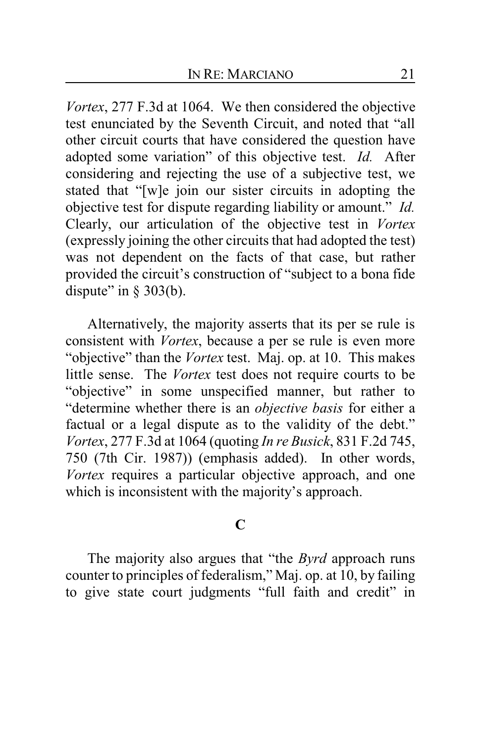*Vortex*, 277 F.3d at 1064. We then considered the objective test enunciated by the Seventh Circuit, and noted that "all other circuit courts that have considered the question have adopted some variation" of this objective test. *Id.* After considering and rejecting the use of a subjective test, we stated that "[w]e join our sister circuits in adopting the objective test for dispute regarding liability or amount." *Id.* Clearly, our articulation of the objective test in *Vortex* (expressly joining the other circuits that had adopted the test) was not dependent on the facts of that case, but rather provided the circuit's construction of "subject to a bona fide dispute" in  $\S$  303(b).

Alternatively, the majority asserts that its per se rule is consistent with *Vortex*, because a per se rule is even more "objective" than the *Vortex* test. Maj. op. at 10. This makes little sense. The *Vortex* test does not require courts to be "objective" in some unspecified manner, but rather to "determine whether there is an *objective basis* for either a factual or a legal dispute as to the validity of the debt." *Vortex*, 277 F.3d at 1064 (quoting *In re Busick*, 831 F.2d 745, 750 (7th Cir. 1987)) (emphasis added). In other words, *Vortex* requires a particular objective approach, and one which is inconsistent with the majority's approach.

## **C**

The majority also argues that "the *Byrd* approach runs counter to principles of federalism," Maj. op. at 10, by failing to give state court judgments "full faith and credit" in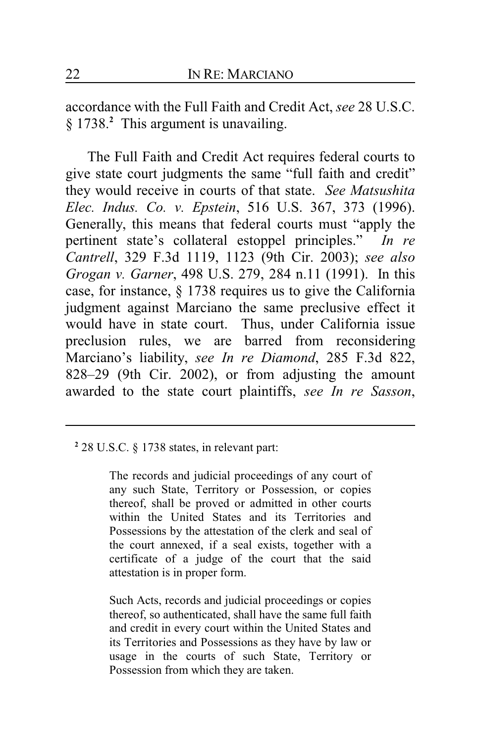accordance with the Full Faith and Credit Act, *see* 28 U.S.C. § 1738.<sup>2</sup> This argument is unavailing.

The Full Faith and Credit Act requires federal courts to give state court judgments the same "full faith and credit" they would receive in courts of that state. *See Matsushita Elec. Indus. Co. v. Epstein*, 516 U.S. 367, 373 (1996). Generally, this means that federal courts must "apply the pertinent state's collateral estoppel principles." *In re Cantrell*, 329 F.3d 1119, 1123 (9th Cir. 2003); *see also Grogan v. Garner*, 498 U.S. 279, 284 n.11 (1991). In this case, for instance, § 1738 requires us to give the California judgment against Marciano the same preclusive effect it would have in state court. Thus, under California issue preclusion rules, we are barred from reconsidering Marciano's liability, *see In re Diamond*, 285 F.3d 822, 828–29 (9th Cir. 2002), or from adjusting the amount awarded to the state court plaintiffs, *see In re Sasson*,

**2** 28 U.S.C. § 1738 states, in relevant part:

The records and judicial proceedings of any court of any such State, Territory or Possession, or copies thereof, shall be proved or admitted in other courts within the United States and its Territories and Possessions by the attestation of the clerk and seal of the court annexed, if a seal exists, together with a certificate of a judge of the court that the said attestation is in proper form.

Such Acts, records and judicial proceedings or copies thereof, so authenticated, shall have the same full faith and credit in every court within the United States and its Territories and Possessions as they have by law or usage in the courts of such State, Territory or Possession from which they are taken.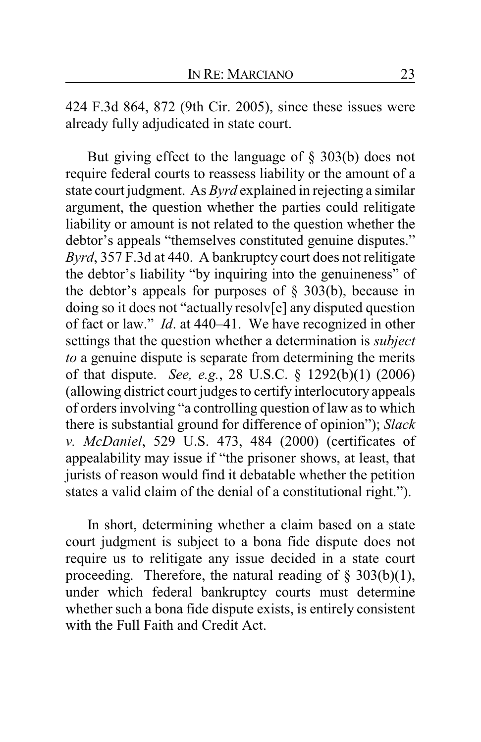424 F.3d 864, 872 (9th Cir. 2005), since these issues were already fully adjudicated in state court.

But giving effect to the language of § 303(b) does not require federal courts to reassess liability or the amount of a state court judgment. As *Byrd* explained in rejecting a similar argument, the question whether the parties could relitigate liability or amount is not related to the question whether the debtor's appeals "themselves constituted genuine disputes." *Byrd*, 357 F.3d at 440. A bankruptcy court does not relitigate the debtor's liability "by inquiring into the genuineness" of the debtor's appeals for purposes of  $\S$  303(b), because in doing so it does not "actually resolv[e] any disputed question of fact or law." *Id*. at 440–41. We have recognized in other settings that the question whether a determination is *subject to* a genuine dispute is separate from determining the merits of that dispute. *See, e.g.*, 28 U.S.C. § 1292(b)(1) (2006) (allowing district court judges to certify interlocutory appeals of orders involving "a controlling question of law as to which there is substantial ground for difference of opinion"); *Slack v. McDaniel*, 529 U.S. 473, 484 (2000) (certificates of appealability may issue if "the prisoner shows, at least, that jurists of reason would find it debatable whether the petition states a valid claim of the denial of a constitutional right.").

In short, determining whether a claim based on a state court judgment is subject to a bona fide dispute does not require us to relitigate any issue decided in a state court proceeding. Therefore, the natural reading of  $\S$  303(b)(1), under which federal bankruptcy courts must determine whether such a bona fide dispute exists, is entirely consistent with the Full Faith and Credit Act.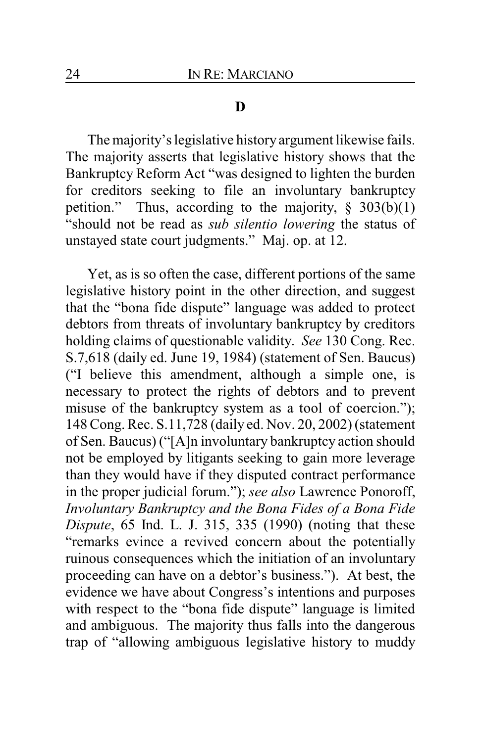### **D**

The majority's legislative history argument likewise fails. The majority asserts that legislative history shows that the Bankruptcy Reform Act "was designed to lighten the burden for creditors seeking to file an involuntary bankruptcy petition." Thus, according to the majority,  $\S$  303(b)(1) "should not be read as *sub silentio lowering* the status of unstayed state court judgments." Maj. op. at 12.

Yet, as is so often the case, different portions of the same legislative history point in the other direction, and suggest that the "bona fide dispute" language was added to protect debtors from threats of involuntary bankruptcy by creditors holding claims of questionable validity. *See* 130 Cong. Rec. S.7,618 (daily ed. June 19, 1984) (statement of Sen. Baucus) ("I believe this amendment, although a simple one, is necessary to protect the rights of debtors and to prevent misuse of the bankruptcy system as a tool of coercion."); 148 Cong. Rec. S.11,728 (daily ed. Nov. 20, 2002) (statement of Sen. Baucus) ("[A]n involuntary bankruptcy action should not be employed by litigants seeking to gain more leverage than they would have if they disputed contract performance in the proper judicial forum."); *see also* Lawrence Ponoroff, *Involuntary Bankruptcy and the Bona Fides of a Bona Fide Dispute*, 65 Ind. L. J. 315, 335 (1990) (noting that these "remarks evince a revived concern about the potentially ruinous consequences which the initiation of an involuntary proceeding can have on a debtor's business."). At best, the evidence we have about Congress's intentions and purposes with respect to the "bona fide dispute" language is limited and ambiguous. The majority thus falls into the dangerous trap of "allowing ambiguous legislative history to muddy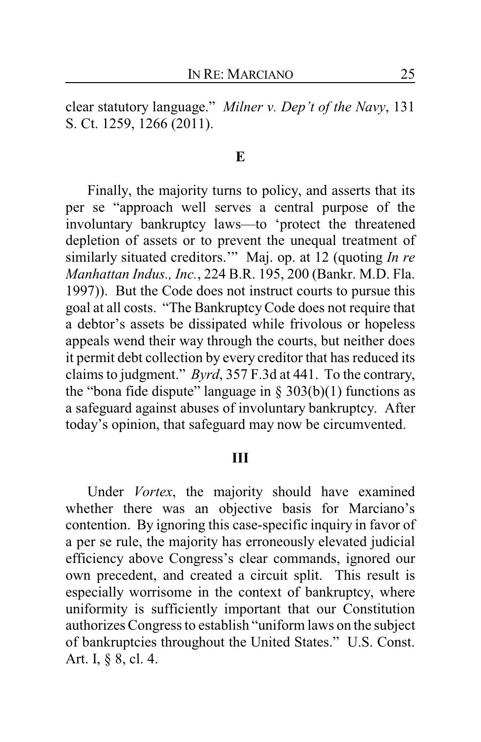clear statutory language." *Milner v. Dep't of the Navy*, 131 S. Ct. 1259, 1266 (2011).

#### **E**

Finally, the majority turns to policy, and asserts that its per se "approach well serves a central purpose of the involuntary bankruptcy laws—to 'protect the threatened depletion of assets or to prevent the unequal treatment of similarly situated creditors.'" Maj. op. at 12 (quoting *In re Manhattan Indus., Inc.*, 224 B.R. 195, 200 (Bankr. M.D. Fla. 1997)). But the Code does not instruct courts to pursue this goal at all costs. "The BankruptcyCode does not require that a debtor's assets be dissipated while frivolous or hopeless appeals wend their way through the courts, but neither does it permit debt collection by every creditor that has reduced its claims to judgment." *Byrd*, 357 F.3d at 441. To the contrary, the "bona fide dispute" language in  $\S$  303(b)(1) functions as a safeguard against abuses of involuntary bankruptcy. After today's opinion, that safeguard may now be circumvented.

#### **III**

Under *Vortex*, the majority should have examined whether there was an objective basis for Marciano's contention. By ignoring this case-specific inquiry in favor of a per se rule, the majority has erroneously elevated judicial efficiency above Congress's clear commands, ignored our own precedent, and created a circuit split. This result is especially worrisome in the context of bankruptcy, where uniformity is sufficiently important that our Constitution authorizes Congress to establish "uniform laws on the subject of bankruptcies throughout the United States." U.S. Const. Art. I, § 8, cl. 4.